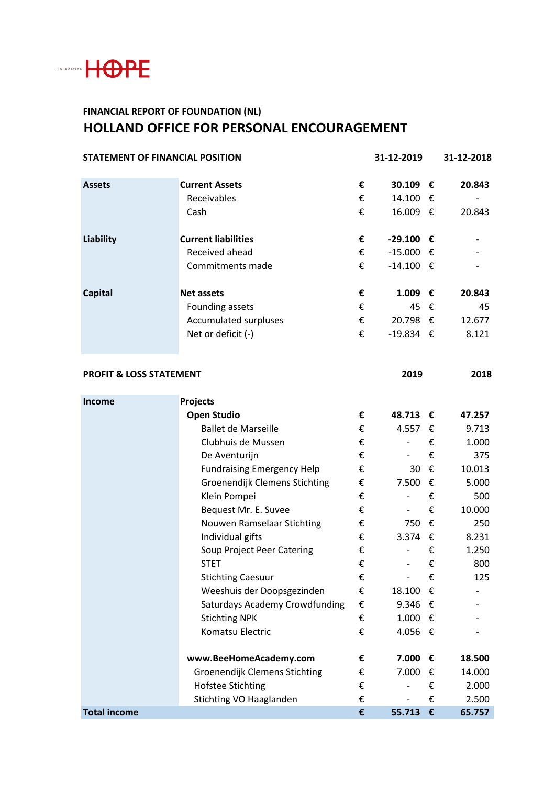

## **FINANCIAL REPORT OF FOUNDATION (NL) HOLLAND OFFICE FOR PERSONAL ENCOURAGEMENT**

| <b>STATEMENT OF FINANCIAL POSITION</b> |                                      |   | 31-12-2019               |   | 31-12-2018 |
|----------------------------------------|--------------------------------------|---|--------------------------|---|------------|
| <b>Assets</b>                          | <b>Current Assets</b>                | € | 30.109 €                 |   | 20.843     |
|                                        | Receivables                          | € | 14.100 €                 |   |            |
|                                        | Cash                                 | € | 16.009 €                 |   | 20.843     |
| <b>Liability</b>                       | <b>Current liabilities</b>           | € | $-29.100$ €              |   |            |
|                                        | Received ahead                       | € | $-15.000$ €              |   |            |
|                                        | Commitments made                     | € | $-14.100 \in$            |   |            |
| <b>Capital</b>                         | <b>Net assets</b>                    | € | 1.009 €                  |   | 20.843     |
|                                        | Founding assets                      | € | 45 €                     |   | 45         |
|                                        | Accumulated surpluses                | € | 20.798 €                 |   | 12.677     |
|                                        | Net or deficit (-)                   | € | $-19.834$ €              |   | 8.121      |
| <b>PROFIT &amp; LOSS STATEMENT</b>     |                                      |   | 2019                     |   | 2018       |
| Income                                 | Projects                             |   |                          |   |            |
|                                        | <b>Open Studio</b>                   | € | 48.713 €                 |   | 47.257     |
|                                        | <b>Ballet de Marseille</b>           | € | 4.557                    | € | 9.713      |
|                                        | Clubhuis de Mussen                   | € | $\overline{\phantom{0}}$ | € | 1.000      |
|                                        | De Aventurijn                        | € | $\overline{\phantom{0}}$ | € | 375        |
|                                        | <b>Fundraising Emergency Help</b>    | € | 30                       | € | 10.013     |
|                                        | Groenendijk Clemens Stichting        | € | 7.500                    | € | 5.000      |
|                                        | Klein Pompei                         | € | $\overline{\phantom{a}}$ | € | 500        |
|                                        | Bequest Mr. E. Suvee                 | € | $\overline{\phantom{a}}$ | € | 10.000     |
|                                        | Nouwen Ramselaar Stichting           | € | 750                      | € | 250        |
|                                        | Individual gifts                     | € | 3.374 $\epsilon$         |   | 8.231      |
|                                        | Soup Project Peer Catering           | € |                          | € | 1.250      |
|                                        | <b>STET</b>                          | € | $\overline{\phantom{0}}$ | € | 800        |
|                                        | <b>Stichting Caesuur</b>             | € |                          | € | 125        |
|                                        | Weeshuis der Doopsgezinden           | € | 18.100                   | € |            |
|                                        | Saturdays Academy Crowdfunding       | € | 9.346 $\epsilon$         |   |            |
|                                        | <b>Stichting NPK</b>                 | € | 1.000 €                  |   |            |
|                                        | Komatsu Electric                     | € | 4.056 €                  |   |            |
|                                        | www.BeeHomeAcademy.com               | € | 7.000                    | € | 18.500     |
|                                        | <b>Groenendijk Clemens Stichting</b> | € | 7.000                    | € | 14.000     |
|                                        | <b>Hofstee Stichting</b>             | € |                          | € | 2.000      |
|                                        | Stichting VO Haaglanden              | € |                          | € | 2.500      |
| <b>Total income</b>                    |                                      | € | 55.713                   | € | 65.757     |